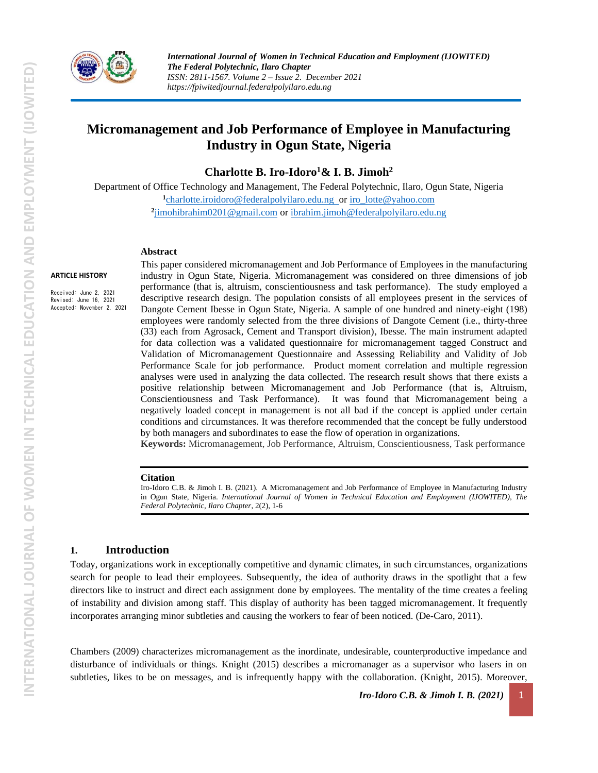

# **Micromanagement and Job Performance of Employee in Manufacturing Industry in Ogun State, Nigeria**

**Charlotte B. Iro-Idoro<sup>1</sup>& I. B. Jimoh<sup>2</sup>**

Department of Office Technology and Management, The Federal Polytechnic, Ilaro, Ogun State, Nigeria **1** [charlotte.iroidoro@federalpolyilaro.edu.ng](mailto:charlotte.iro-idoro@federalpolyilaro.edu.ng) or [iro\\_lotte@yahoo.com](mailto:iro_lotte@yahoo.com)  **2** [jimohibrahim0201@gmail.com](mailto:jimohibrahim0201@gmail.com) o[r ibrahim.jimoh@federalpolyilaro.edu.ng](mailto:ibrahim.jimoh@federalpolyilaro.edu.ng)

#### **Abstract**

**ARTICLE HISTORY**

Received: June 2, 2021 Revised: June 16, 2021 Accepted: November 2, 2021 This paper considered micromanagement and Job Performance of Employees in the manufacturing industry in Ogun State, Nigeria. Micromanagement was considered on three dimensions of job performance (that is, altruism, conscientiousness and task performance). The study employed a descriptive research design. The population consists of all employees present in the services of Dangote Cement Ibesse in Ogun State, Nigeria. A sample of one hundred and ninety-eight (198) employees were randomly selected from the three divisions of Dangote Cement (i.e., thirty-three (33) each from Agrosack, Cement and Transport division), Ibesse. The main instrument adapted for data collection was a validated questionnaire for micromanagement tagged Construct and Validation of Micromanagement Questionnaire and Assessing Reliability and Validity of Job Performance Scale for job performance. Product moment correlation and multiple regression analyses were used in analyzing the data collected. The research result shows that there exists a positive relationship between Micromanagement and Job Performance (that is, Altruism, Conscientiousness and Task Performance). It was found that Micromanagement being a negatively loaded concept in management is not all bad if the concept is applied under certain conditions and circumstances. It was therefore recommended that the concept be fully understood by both managers and subordinates to ease the flow of operation in organizations.

**Keywords:** Micromanagement, Job Performance, Altruism, Conscientiousness, Task performance

#### **Citation**

Iro-Idoro C.B. & Jimoh I. B. (2021). A Micromanagement and Job Performance of Employee in Manufacturing Industry in Ogun State, Nigeria. *International Journal of Women in Technical Education and Employment (IJOWITED), The Federal Polytechnic, Ilaro Chapter*, 2(2), 1-6

### **1. Introduction**

Today, organizations work in exceptionally competitive and dynamic climates, in such circumstances, organizations search for people to lead their employees. Subsequently, the idea of authority draws in the spotlight that a few directors like to instruct and direct each assignment done by employees. The mentality of the time creates a feeling of instability and division among staff. This display of authority has been tagged micromanagement. It frequently incorporates arranging minor subtleties and causing the workers to fear of been noticed. (De-Caro, 2011).

Chambers (2009) characterizes micromanagement as the inordinate, undesirable, counterproductive impedance and disturbance of individuals or things. Knight (2015) describes a micromanager as a supervisor who lasers in on subtleties, likes to be on messages, and is infrequently happy with the collaboration. (Knight, 2015). Moreover,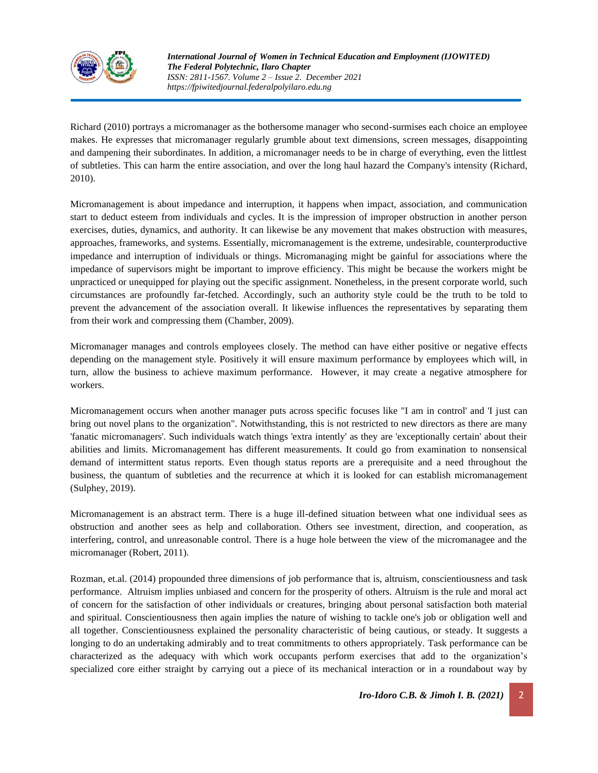

Richard (2010) portrays a micromanager as the bothersome manager who second-surmises each choice an employee makes. He expresses that micromanager regularly grumble about text dimensions, screen messages, disappointing and dampening their subordinates. In addition, a micromanager needs to be in charge of everything, even the littlest of subtleties. This can harm the entire association, and over the long haul hazard the Company's intensity (Richard, 2010).

Micromanagement is about impedance and interruption, it happens when impact, association, and communication start to deduct esteem from individuals and cycles. It is the impression of improper obstruction in another person exercises, duties, dynamics, and authority. It can likewise be any movement that makes obstruction with measures, approaches, frameworks, and systems. Essentially, micromanagement is the extreme, undesirable, counterproductive impedance and interruption of individuals or things. Micromanaging might be gainful for associations where the impedance of supervisors might be important to improve efficiency. This might be because the workers might be unpracticed or unequipped for playing out the specific assignment. Nonetheless, in the present corporate world, such circumstances are profoundly far-fetched. Accordingly, such an authority style could be the truth to be told to prevent the advancement of the association overall. It likewise influences the representatives by separating them from their work and compressing them (Chamber, 2009).

Micromanager manages and controls employees closely. The method can have either positive or negative effects depending on the management style. Positively it will ensure maximum performance by employees which will, in turn, allow the business to achieve maximum performance. However, it may create a negative atmosphere for workers.

Micromanagement occurs when another manager puts across specific focuses like "I am in control' and 'I just can bring out novel plans to the organization". Notwithstanding, this is not restricted to new directors as there are many 'fanatic micromanagers'. Such individuals watch things 'extra intently' as they are 'exceptionally certain' about their abilities and limits. Micromanagement has different measurements. It could go from examination to nonsensical demand of intermittent status reports. Even though status reports are a prerequisite and a need throughout the business, the quantum of subtleties and the recurrence at which it is looked for can establish micromanagement (Sulphey, 2019).

Micromanagement is an abstract term. There is a huge ill-defined situation between what one individual sees as obstruction and another sees as help and collaboration. Others see investment, direction, and cooperation, as interfering, control, and unreasonable control. There is a huge hole between the view of the micromanagee and the micromanager (Robert, 2011).

Rozman, et.al. (2014) propounded three dimensions of job performance that is, altruism, conscientiousness and task performance. Altruism implies unbiased and concern for the prosperity of others. Altruism is the rule and moral act of concern for the satisfaction of other individuals or creatures, bringing about personal satisfaction both material and spiritual. Conscientiousness then again implies the nature of wishing to tackle one's job or obligation well and all together. Conscientiousness explained the personality characteristic of being cautious, or steady. It suggests a longing to do an undertaking admirably and to treat commitments to others appropriately. Task performance can be characterized as the adequacy with which work occupants perform exercises that add to the organization's specialized core either straight by carrying out a piece of its mechanical interaction or in a roundabout way by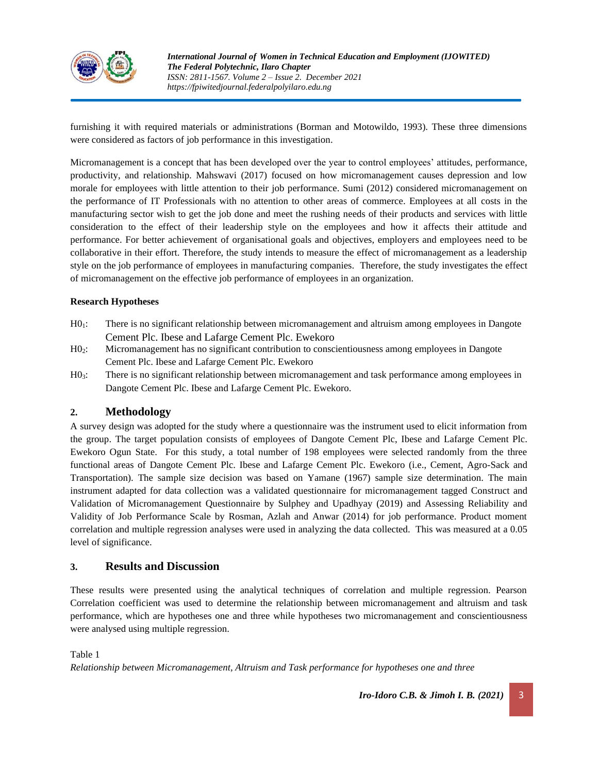

furnishing it with required materials or administrations (Borman and Motowildo, 1993). These three dimensions were considered as factors of job performance in this investigation.

Micromanagement is a concept that has been developed over the year to control employees' attitudes, performance, productivity, and relationship. Mahswavi (2017) focused on how micromanagement causes depression and low morale for employees with little attention to their job performance. Sumi (2012) considered micromanagement on the performance of IT Professionals with no attention to other areas of commerce. Employees at all costs in the manufacturing sector wish to get the job done and meet the rushing needs of their products and services with little consideration to the effect of their leadership style on the employees and how it affects their attitude and performance. For better achievement of organisational goals and objectives, employers and employees need to be collaborative in their effort. Therefore, the study intends to measure the effect of micromanagement as a leadership style on the job performance of employees in manufacturing companies.Therefore, the study investigates the effect of micromanagement on the effective job performance of employees in an organization.

### **Research Hypotheses**

- H01: There is no significant relationship between micromanagement and altruism among employees in Dangote Cement Plc. Ibese and Lafarge Cement Plc. Ewekoro
- H02: Micromanagement has no significant contribution to conscientiousness among employees in Dangote Cement Plc. Ibese and Lafarge Cement Plc. Ewekoro
- H03: There is no significant relationship between micromanagement and task performance among employees in Dangote Cement Plc. Ibese and Lafarge Cement Plc. Ewekoro.

### **2. Methodology**

A survey design was adopted for the study where a questionnaire was the instrument used to elicit information from the group. The target population consists of employees of Dangote Cement Plc, Ibese and Lafarge Cement Plc. Ewekoro Ogun State. For this study, a total number of 198 employees were selected randomly from the three functional areas of Dangote Cement Plc. Ibese and Lafarge Cement Plc. Ewekoro (i.e., Cement, Agro-Sack and Transportation). The sample size decision was based on Yamane (1967) sample size determination. The main instrument adapted for data collection was a validated questionnaire for micromanagement tagged Construct and Validation of Micromanagement Questionnaire by Sulphey and Upadhyay (2019) and Assessing Reliability and Validity of Job Performance Scale by Rosman, Azlah and Anwar (2014) for job performance. Product moment correlation and multiple regression analyses were used in analyzing the data collected. This was measured at a 0.05 level of significance.

## **3. Results and Discussion**

These results were presented using the analytical techniques of correlation and multiple regression. Pearson Correlation coefficient was used to determine the relationship between micromanagement and altruism and task performance, which are hypotheses one and three while hypotheses two micromanagement and conscientiousness were analysed using multiple regression.

Table 1

*Relationship between Micromanagement, Altruism and Task performance for hypotheses one and three*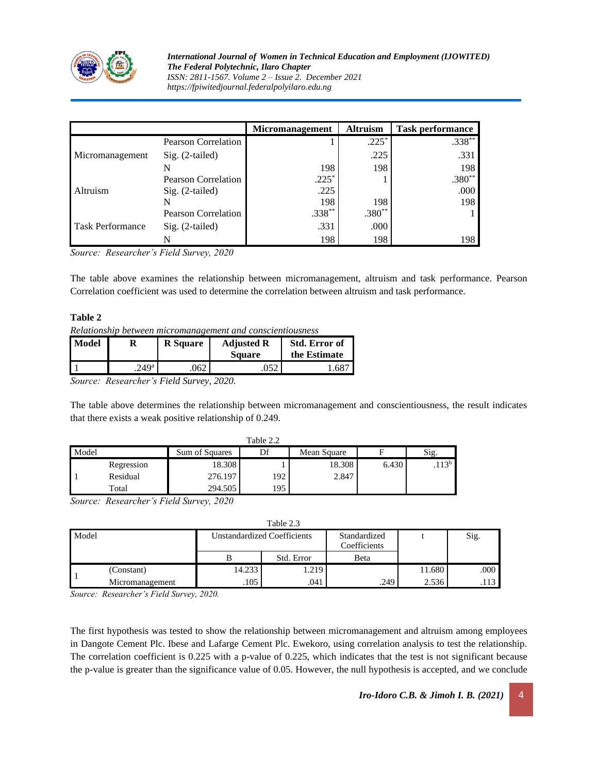

*International Journal of Women in Technical Education and Employment (IJOWITED) The Federal Polytechnic, Ilaro Chapter ISSN: 2811-1567. Volume 2 – Issue 2. December 2021 https://fpiwitedjournal.federalpolyilaro.edu.ng*

|                         |                            | <b>Micromanagement</b> | <b>Altruism</b> | <b>Task performance</b> |
|-------------------------|----------------------------|------------------------|-----------------|-------------------------|
|                         | Pearson Correlation        |                        | $.225*$         | $.338***$               |
| Micromanagement         | $Sig. (2-tailed)$          |                        | .225            | .331                    |
|                         |                            | 198                    | 198             | 198                     |
| Altruism                | <b>Pearson Correlation</b> | $.225*$                |                 | $.380**$                |
|                         | $Sig. (2-tailed)$          | .225                   |                 | .000                    |
|                         |                            | 198                    | 198             | 198                     |
|                         | Pearson Correlation        | $.338**$               | $.380**$        |                         |
| <b>Task Performance</b> | $Sig. (2-tailed)$          | .331                   | .000            |                         |
|                         |                            | 198                    | 198             | 198                     |

*Source: Researcher's Field Survey, 2020*

The table above examines the relationship between micromanagement, altruism and task performance. Pearson Correlation coefficient was used to determine the correlation between altruism and task performance.

#### **Table 2**

|  |  | Relationship between micromanagement and conscientiousness |
|--|--|------------------------------------------------------------|
|  |  |                                                            |

| <b>Model</b> |                   | <b>R</b> Square | <b>Adjusted R</b><br><b>Square</b> | Std. Error of<br>the Estimate |
|--------------|-------------------|-----------------|------------------------------------|-------------------------------|
|              | .249 <sup>a</sup> | .062            |                                    |                               |
|              |                   |                 |                                    |                               |

*Source: Researcher's Field Survey, 2020.*

The table above determines the relationship between micromanagement and conscientiousness, the result indicates that there exists a weak positive relationship of 0.249.

| Table 2.2 |            |                |     |             |       |                   |  |
|-----------|------------|----------------|-----|-------------|-------|-------------------|--|
| Model     |            | Sum of Squares |     | Mean Square |       | Sig.              |  |
|           | Regression | 18.308         |     | 18.308      | 6.430 | .113 <sup>b</sup> |  |
|           | Residual   | 276.197        | 192 | 2.847       |       |                   |  |
|           | Total      | 294.505        | 195 |             |       |                   |  |

*Source: Researcher's Field Survey, 2020*

|       |                 |                                    | Table 2.3  |                              |        |      |
|-------|-----------------|------------------------------------|------------|------------------------------|--------|------|
| Model |                 | <b>Unstandardized Coefficients</b> |            | Standardized<br>Coefficients |        | Sig. |
|       |                 |                                    | Std. Error | Beta                         |        |      |
|       | (Constant)      | 14.233                             | 1.219      |                              | 11.680 | .000 |
|       | Micromanagement | .105                               | .041       | .249                         | 2.536  | .113 |

*Source: Researcher's Field Survey, 2020.*

The first hypothesis was tested to show the relationship between micromanagement and altruism among employees in Dangote Cement Plc. Ibese and Lafarge Cement Plc. Ewekoro, using correlation analysis to test the relationship. The correlation coefficient is 0.225 with a p-value of 0.225, which indicates that the test is not significant because the p-value is greater than the significance value of 0.05. However, the null hypothesis is accepted, and we conclude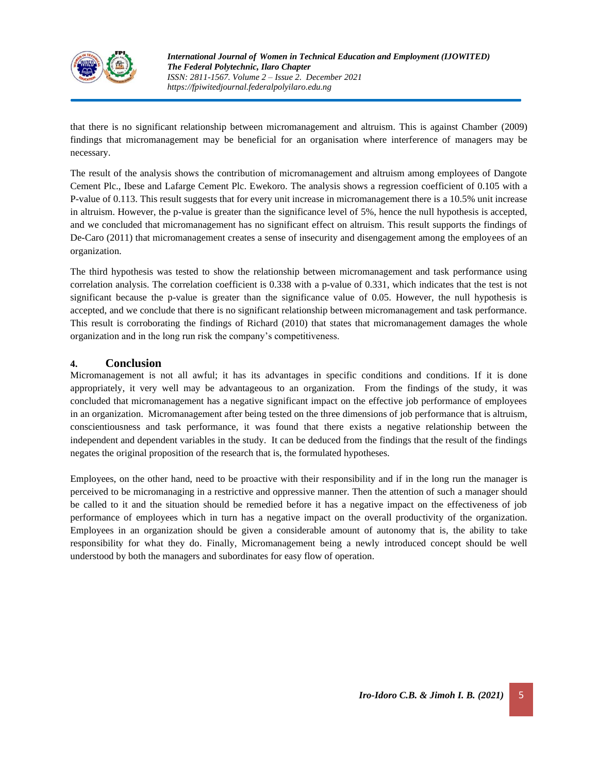

that there is no significant relationship between micromanagement and altruism. This is against Chamber (2009) findings that micromanagement may be beneficial for an organisation where interference of managers may be necessary.

The result of the analysis shows the contribution of micromanagement and altruism among employees of Dangote Cement Plc., Ibese and Lafarge Cement Plc. Ewekoro. The analysis shows a regression coefficient of 0.105 with a P-value of 0.113. This result suggests that for every unit increase in micromanagement there is a 10.5% unit increase in altruism. However, the p-value is greater than the significance level of 5%, hence the null hypothesis is accepted, and we concluded that micromanagement has no significant effect on altruism. This result supports the findings of De-Caro (2011) that micromanagement creates a sense of insecurity and disengagement among the employees of an organization.

The third hypothesis was tested to show the relationship between micromanagement and task performance using correlation analysis. The correlation coefficient is 0.338 with a p-value of 0.331, which indicates that the test is not significant because the p-value is greater than the significance value of 0.05. However, the null hypothesis is accepted, and we conclude that there is no significant relationship between micromanagement and task performance. This result is corroborating the findings of Richard (2010) that states that micromanagement damages the whole organization and in the long run risk the company's competitiveness.

# **4. Conclusion**

Micromanagement is not all awful; it has its advantages in specific conditions and conditions. If it is done appropriately, it very well may be advantageous to an organization. From the findings of the study, it was concluded that micromanagement has a negative significant impact on the effective job performance of employees in an organization. Micromanagement after being tested on the three dimensions of job performance that is altruism, conscientiousness and task performance, it was found that there exists a negative relationship between the independent and dependent variables in the study. It can be deduced from the findings that the result of the findings negates the original proposition of the research that is, the formulated hypotheses.

Employees, on the other hand, need to be proactive with their responsibility and if in the long run the manager is perceived to be micromanaging in a restrictive and oppressive manner. Then the attention of such a manager should be called to it and the situation should be remedied before it has a negative impact on the effectiveness of job performance of employees which in turn has a negative impact on the overall productivity of the organization. Employees in an organization should be given a considerable amount of autonomy that is, the ability to take responsibility for what they do. Finally, Micromanagement being a newly introduced concept should be well understood by both the managers and subordinates for easy flow of operation.